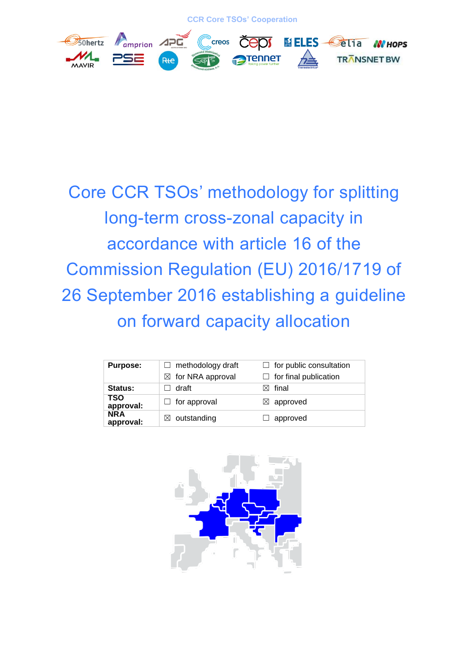

Core CCR TSOs' methodology for splitting long-term cross-zonal capacity in accordance with article 16 of the Commission Regulation (EU) 2016/1719 of 26 September 2016 establishing a guideline on forward capacity allocation

| <b>Purpose:</b>         | $\Box$ methodology draft     | $\Box$ for public consultation |
|-------------------------|------------------------------|--------------------------------|
|                         | $\boxtimes$ for NRA approval | $\Box$ for final publication   |
| Status:                 | draft                        | $\boxtimes$ final              |
| <b>TSO</b><br>approval: | $\Box$ for approval          | $\boxtimes$ approved           |
| <b>NRA</b><br>approval: | $\boxtimes$ outstanding      | $\Box$ approved                |

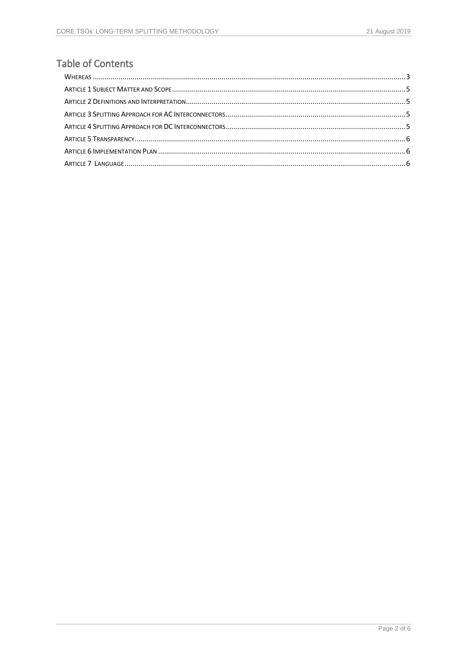# **Table of Contents**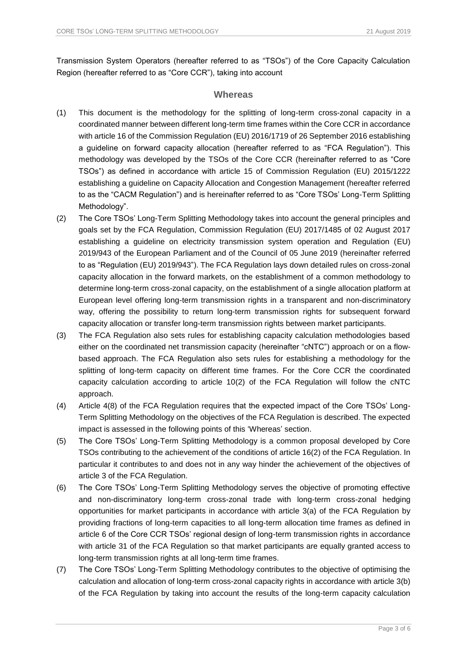<span id="page-2-0"></span>Transmission System Operators (hereafter referred to as "TSOs") of the Core Capacity Calculation Region (hereafter referred to as "Core CCR"), taking into account

#### **Whereas**

- (1) This document is the methodology for the splitting of long-term cross-zonal capacity in a coordinated manner between different long-term time frames within the Core CCR in accordance with article 16 of the Commission Regulation (EU) 2016/1719 of 26 September 2016 establishing a guideline on forward capacity allocation (hereafter referred to as "FCA Regulation"). This methodology was developed by the TSOs of the Core CCR (hereinafter referred to as "Core TSOs") as defined in accordance with article 15 of Commission Regulation (EU) 2015/1222 establishing a guideline on Capacity Allocation and Congestion Management (hereafter referred to as the "CACM Regulation") and is hereinafter referred to as "Core TSOs' Long-Term Splitting Methodology".
- (2) The Core TSOs' Long-Term Splitting Methodology takes into account the general principles and goals set by the FCA Regulation, Commission Regulation (EU) 2017/1485 of 02 August 2017 establishing a guideline on electricity transmission system operation and Regulation (EU) 2019/943 of the European Parliament and of the Council of 05 June 2019 (hereinafter referred to as "Regulation (EU) 2019/943"). The FCA Regulation lays down detailed rules on cross-zonal capacity allocation in the forward markets, on the establishment of a common methodology to determine long-term cross-zonal capacity, on the establishment of a single allocation platform at European level offering long-term transmission rights in a transparent and non-discriminatory way, offering the possibility to return long-term transmission rights for subsequent forward capacity allocation or transfer long-term transmission rights between market participants.
- (3) The FCA Regulation also sets rules for establishing capacity calculation methodologies based either on the coordinated net transmission capacity (hereinafter "cNTC") approach or on a flowbased approach. The FCA Regulation also sets rules for establishing a methodology for the splitting of long-term capacity on different time frames. For the Core CCR the coordinated capacity calculation according to article 10(2) of the FCA Regulation will follow the cNTC approach.
- (4) Article 4(8) of the FCA Regulation requires that the expected impact of the Core TSOs' Long-Term Splitting Methodology on the objectives of the FCA Regulation is described. The expected impact is assessed in the following points of this 'Whereas' section.
- (5) The Core TSOs' Long-Term Splitting Methodology is a common proposal developed by Core TSOs contributing to the achievement of the conditions of article 16(2) of the FCA Regulation. In particular it contributes to and does not in any way hinder the achievement of the objectives of article 3 of the FCA Regulation.
- (6) The Core TSOs' Long-Term Splitting Methodology serves the objective of promoting effective and non-discriminatory long-term cross-zonal trade with long-term cross-zonal hedging opportunities for market participants in accordance with article 3(a) of the FCA Regulation by providing fractions of long-term capacities to all long-term allocation time frames as defined in article 6 of the Core CCR TSOs' regional design of long-term transmission rights in accordance with article 31 of the FCA Regulation so that market participants are equally granted access to long-term transmission rights at all long-term time frames.
- (7) The Core TSOs' Long-Term Splitting Methodology contributes to the objective of optimising the calculation and allocation of long-term cross-zonal capacity rights in accordance with article 3(b) of the FCA Regulation by taking into account the results of the long-term capacity calculation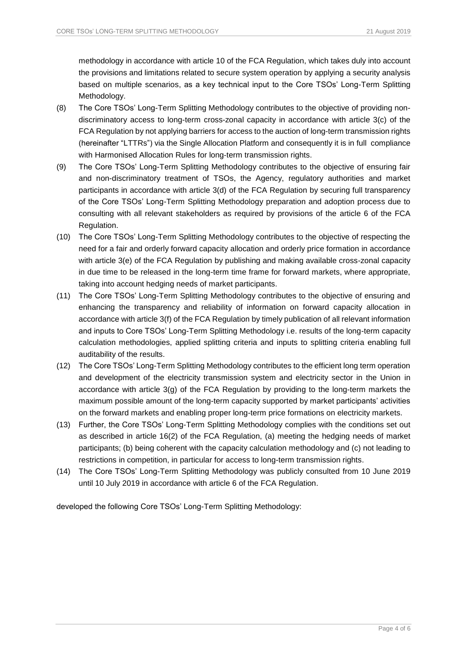methodology in accordance with article 10 of the FCA Regulation, which takes duly into account the provisions and limitations related to secure system operation by applying a security analysis based on multiple scenarios, as a key technical input to the Core TSOs' Long-Term Splitting Methodology.

- (8) The Core TSOs' Long-Term Splitting Methodology contributes to the objective of providing nondiscriminatory access to long-term cross-zonal capacity in accordance with article 3(c) of the FCA Regulation by not applying barriers for access to the auction of long-term transmission rights (hereinafter "LTTRs") via the Single Allocation Platform and consequently it is in full compliance with Harmonised Allocation Rules for long-term transmission rights.
- (9) The Core TSOs' Long-Term Splitting Methodology contributes to the objective of ensuring fair and non-discriminatory treatment of TSOs, the Agency, regulatory authorities and market participants in accordance with article 3(d) of the FCA Regulation by securing full transparency of the Core TSOs' Long-Term Splitting Methodology preparation and adoption process due to consulting with all relevant stakeholders as required by provisions of the article 6 of the FCA Regulation.
- (10) The Core TSOs' Long-Term Splitting Methodology contributes to the objective of respecting the need for a fair and orderly forward capacity allocation and orderly price formation in accordance with article 3(e) of the FCA Regulation by publishing and making available cross-zonal capacity in due time to be released in the long-term time frame for forward markets, where appropriate, taking into account hedging needs of market participants.
- (11) The Core TSOs' Long-Term Splitting Methodology contributes to the objective of ensuring and enhancing the transparency and reliability of information on forward capacity allocation in accordance with article 3(f) of the FCA Regulation by timely publication of all relevant information and inputs to Core TSOs' Long-Term Splitting Methodology i.e. results of the long-term capacity calculation methodologies, applied splitting criteria and inputs to splitting criteria enabling full auditability of the results.
- (12) The Core TSOs' Long-Term Splitting Methodology contributes to the efficient long term operation and development of the electricity transmission system and electricity sector in the Union in accordance with article 3(g) of the FCA Regulation by providing to the long-term markets the maximum possible amount of the long-term capacity supported by market participants' activities on the forward markets and enabling proper long-term price formations on electricity markets.
- (13) Further, the Core TSOs' Long-Term Splitting Methodology complies with the conditions set out as described in article 16(2) of the FCA Regulation, (a) meeting the hedging needs of market participants; (b) being coherent with the capacity calculation methodology and (c) not leading to restrictions in competition, in particular for access to long-term transmission rights.
- (14) The Core TSOs' Long-Term Splitting Methodology was publicly consulted from 10 June 2019 until 10 July 2019 in accordance with article 6 of the FCA Regulation.

developed the following Core TSOs' Long-Term Splitting Methodology: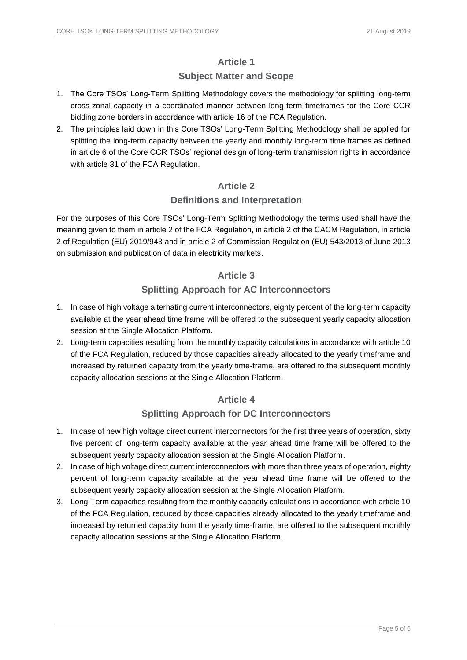### **Article 1**

# **Subject Matter and Scope**

- <span id="page-4-0"></span>1. The Core TSOs' Long-Term Splitting Methodology covers the methodology for splitting long-term cross-zonal capacity in a coordinated manner between long-term timeframes for the Core CCR bidding zone borders in accordance with article 16 of the FCA Regulation.
- 2. The principles laid down in this Core TSOs' Long-Term Splitting Methodology shall be applied for splitting the long-term capacity between the yearly and monthly long-term time frames as defined in article 6 of the Core CCR TSOs' regional design of long-term transmission rights in accordance with article 31 of the FCA Regulation.

# **Article 2**

# **Definitions and Interpretation**

<span id="page-4-1"></span>For the purposes of this Core TSOs' Long-Term Splitting Methodology the terms used shall have the meaning given to them in article 2 of the FCA Regulation, in article 2 of the CACM Regulation, in article 2 of Regulation (EU) 2019/943 and in article 2 of Commission Regulation (EU) 543/2013 of June 2013 on submission and publication of data in electricity markets.

# **Article 3**

# **Splitting Approach for AC Interconnectors**

- <span id="page-4-2"></span>1. In case of high voltage alternating current interconnectors, eighty percent of the long-term capacity available at the year ahead time frame will be offered to the subsequent yearly capacity allocation session at the Single Allocation Platform.
- 2. Long-term capacities resulting from the monthly capacity calculations in accordance with article 10 of the FCA Regulation, reduced by those capacities already allocated to the yearly timeframe and increased by returned capacity from the yearly time-frame, are offered to the subsequent monthly capacity allocation sessions at the Single Allocation Platform.

# **Article 4**

# **Splitting Approach for DC Interconnectors**

- <span id="page-4-3"></span>1. In case of new high voltage direct current interconnectors for the first three years of operation, sixty five percent of long-term capacity available at the year ahead time frame will be offered to the subsequent yearly capacity allocation session at the Single Allocation Platform.
- 2. In case of high voltage direct current interconnectors with more than three years of operation, eighty percent of long-term capacity available at the year ahead time frame will be offered to the subsequent yearly capacity allocation session at the Single Allocation Platform.
- 3. Long-Term capacities resulting from the monthly capacity calculations in accordance with article 10 of the FCA Regulation, reduced by those capacities already allocated to the yearly timeframe and increased by returned capacity from the yearly time-frame, are offered to the subsequent monthly capacity allocation sessions at the Single Allocation Platform.